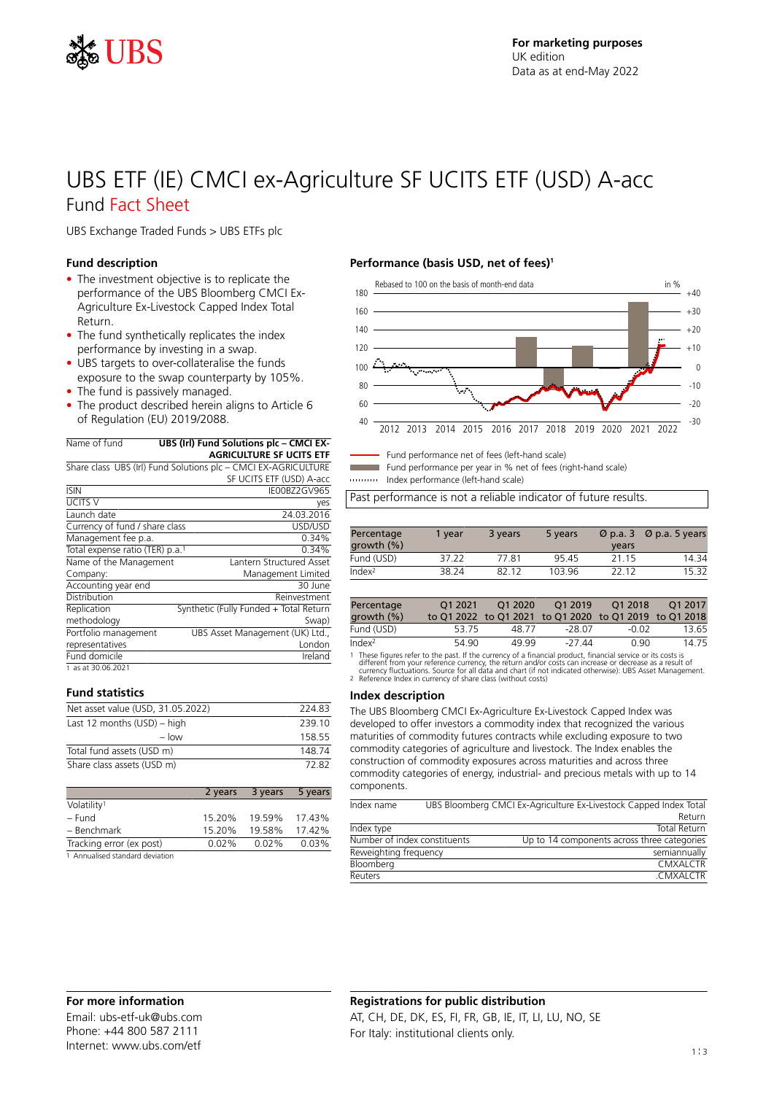

# UBS ETF (IE) CMCI ex-Agriculture SF UCITS ETF (USD) A-acc Fund Fact Sheet

UBS Exchange Traded Funds > UBS ETFs plc

#### **Fund description**

- The investment objective is to replicate the performance of the UBS Bloomberg CMCI Ex-Agriculture Ex-Livestock Capped Index Total Return.
- The fund synthetically replicates the index performance by investing in a swap.
- UBS targets to over-collateralise the funds exposure to the swap counterparty by 105%.
- The fund is passively managed.
- The product described herein aligns to Article 6 of Regulation (EU) 2019/2088.

| Name of fund                                | UBS (Irl) Fund Solutions plc - CMCI EX-                        |
|---------------------------------------------|----------------------------------------------------------------|
|                                             | <b>AGRICULTURE SF UCITS ETF</b>                                |
|                                             | Share class UBS (Irl) Fund Solutions plc - CMCI EX-AGRICULTURE |
|                                             | SF UCITS ETF (USD) A-acc                                       |
| <b>ISIN</b>                                 | IE00BZ2GV965                                                   |
| <b>UCITS V</b>                              | yes                                                            |
| Launch date                                 | 24.03.2016                                                     |
| Currency of fund / share class              | USD/USD                                                        |
| Management fee p.a.                         | 0.34%                                                          |
| Total expense ratio (TER) p.a. <sup>1</sup> | 0.34%                                                          |
| Name of the Management                      | Lantern Structured Asset                                       |
| Company:                                    | Management Limited                                             |
| Accounting year end                         | 30 June                                                        |
| Distribution                                | Reinvestment                                                   |
| Replication                                 | Synthetic (Fully Funded + Total Return                         |
| methodology                                 | Swap)                                                          |
| Portfolio management                        | UBS Asset Management (UK) Ltd.,                                |
| representatives                             | London                                                         |
| Fund domicile                               | Ireland                                                        |
| 1 as at 30.06.2021                          |                                                                |

#### **Fund statistics**

| Net asset value (USD, 31.05.2022) | 224.83 |
|-----------------------------------|--------|
| Last 12 months $(USD)$ – high     | 239 10 |
| $-$ low                           | 158 55 |
| Total fund assets (USD m)         | 148 74 |
| Share class assets (USD m)        | 72.82  |

|                                 | 2 years  | 3 years | 5 years |
|---------------------------------|----------|---------|---------|
| Volatility <sup>1</sup>         |          |         |         |
| – Fund                          | 15.20%   | 19.59%  | 17.43%  |
| - Benchmark                     | 15.20%   | 19.58%  | 17.42%  |
| Tracking error (ex post)        | $0.02\%$ | 0.02%   | 0.03%   |
| 1 Annualised standard deviation |          |         |         |

# **Performance (basis USD, net of fees)<sup>1</sup>**



Fund performance net of fees (left-hand scale)

Fund performance per year in % net of fees (right-hand scale)

Index performance (left-hand scale)

Past performance is not a reliable indicator of future results.

| Percentage<br>growth (%) | 1 vear | 3 years | 5 years | years | $\varnothing$ p.a. 3 $\varnothing$ p.a. 5 years |
|--------------------------|--------|---------|---------|-------|-------------------------------------------------|
| Fund (USD)               | 37.22  | 7781    | 9545    | 21 15 | 14.34                                           |
| Index <sup>2</sup>       | 38.24  | 82 12   | 103 96  | 22 12 | 15 32                                           |

| Percentage<br>growth $(\%)$ | O1 2021 | O1 2020 | O1 2019<br>to Q1 2022 to Q1 2021 to Q1 2020 to Q1 2019 to Q1 2018 | O1 2018 | O1 2017 |
|-----------------------------|---------|---------|-------------------------------------------------------------------|---------|---------|
| Fund (USD)                  | 53.75   | 48.77   | -28.07                                                            | -0.02   | 13.65   |
| Index <sup>2</sup>          | 54.90   | 49.99   | -27 44                                                            | O 90    | 14.75   |

1 These figures refer to the past. If the currency of a financial product, financial service or its costs is<br>different from your reference currency, the return and/or costs can increase or decrease as a result of<br>currency

#### **Index description**

The UBS Bloomberg CMCI Ex-Agriculture Ex-Livestock Capped Index was developed to offer investors a commodity index that recognized the various maturities of commodity futures contracts while excluding exposure to two commodity categories of agriculture and livestock. The Index enables the construction of commodity exposures across maturities and across three commodity categories of energy, industrial- and precious metals with up to 14 components.

| Index name                   | UBS Bloomberg CMCI Ex-Agriculture Ex-Livestock Capped Index Total |
|------------------------------|-------------------------------------------------------------------|
|                              | Return                                                            |
| Index type                   | Total Return                                                      |
| Number of index constituents | Up to 14 components across three categories                       |
| Reweighting frequency        | semiannually                                                      |
| Bloomberg                    | <b>CMXALCTR</b>                                                   |
| <b>Reuters</b>               | CMXALCTR                                                          |

# **For more information**

Email: ubs-etf-uk@ubs.com Phone: +44 800 587 2111 Internet: www.ubs.com/etf

# **Registrations for public distribution**

AT, CH, DE, DK, ES, FI, FR, GB, IE, IT, LI, LU, NO, SE For Italy: institutional clients only.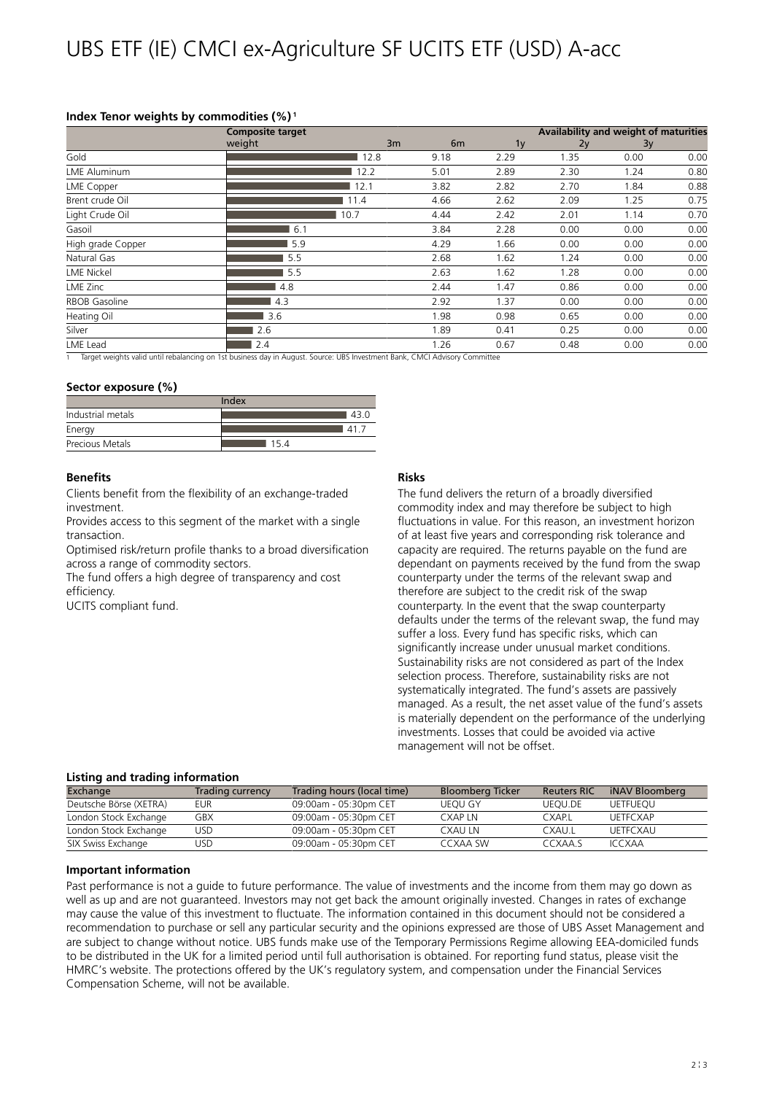# **Index Tenor weights by commodities (%)<sup>1</sup>**

|                      | <b>Composite target</b> |      |                |                | Availability and weight of maturities |      |      |  |
|----------------------|-------------------------|------|----------------|----------------|---------------------------------------|------|------|--|
|                      | weight                  | 3m   | 6 <sub>m</sub> | 1 <sub>y</sub> | 2v                                    | 3y   |      |  |
| Gold                 |                         | 12.8 | 9.18           | 2.29           | 1.35                                  | 0.00 | 0.00 |  |
| <b>LME Aluminum</b>  |                         | 12.2 | 5.01           | 2.89           | 2.30                                  | 1.24 | 0.80 |  |
| LME Copper           |                         | 12.1 | 3.82           | 2.82           | 2.70                                  | 1.84 | 0.88 |  |
| Brent crude Oil      |                         | 11.4 | 4.66           | 2.62           | 2.09                                  | 1.25 | 0.75 |  |
| Light Crude Oil      |                         | 10.7 | 4.44           | 2.42           | 2.01                                  | 1.14 | 0.70 |  |
| Gasoil               | 6.1                     |      | 3.84           | 2.28           | 0.00                                  | 0.00 | 0.00 |  |
| High grade Copper    | 5.9                     |      | 4.29           | 1.66           | 0.00                                  | 0.00 | 0.00 |  |
| Natural Gas          | 5.5                     |      | 2.68           | 1.62           | 1.24                                  | 0.00 | 0.00 |  |
| <b>LME Nickel</b>    | 5.5                     |      | 2.63           | 1.62           | 1.28                                  | 0.00 | 0.00 |  |
| LME Zinc             | 4.8                     |      | 2.44           | 1.47           | 0.86                                  | 0.00 | 0.00 |  |
| <b>RBOB Gasoline</b> | 4.3                     |      | 2.92           | 1.37           | 0.00                                  | 0.00 | 0.00 |  |
| Heating Oil          | 3.6                     |      | 1.98           | 0.98           | 0.65                                  | 0.00 | 0.00 |  |
| Silver               | 2.6                     |      | 1.89           | 0.41           | 0.25                                  | 0.00 | 0.00 |  |
| LME Lead             | 2.4                     |      | 1.26           | 0.67           | 0.48                                  | 0.00 | 0.00 |  |

Target weights valid until rebalancing on 1st business day in August. Source: UBS Investment Bank, CMCI Advisory Committee

#### **Sector exposure (%)**

| Index             |     |  |  |  |
|-------------------|-----|--|--|--|
| Industrial metals | 43C |  |  |  |
| Energy            | 41  |  |  |  |
| Precious Metals   | 154 |  |  |  |

#### **Benefits**

Clients benefit from the flexibility of an exchange-traded investment.

Provides access to this segment of the market with a single transaction.

Optimised risk/return profile thanks to a broad diversification across a range of commodity sectors.

The fund offers a high degree of transparency and cost efficiency.

UCITS compliant fund.

#### **Risks**

The fund delivers the return of a broadly diversified commodity index and may therefore be subject to high fluctuations in value. For this reason, an investment horizon of at least five years and corresponding risk tolerance and capacity are required. The returns payable on the fund are dependant on payments received by the fund from the swap counterparty under the terms of the relevant swap and therefore are subject to the credit risk of the swap counterparty. In the event that the swap counterparty defaults under the terms of the relevant swap, the fund may suffer a loss. Every fund has specific risks, which can significantly increase under unusual market conditions. Sustainability risks are not considered as part of the Index selection process. Therefore, sustainability risks are not systematically integrated. The fund's assets are passively managed. As a result, the net asset value of the fund's assets is materially dependent on the performance of the underlying investments. Losses that could be avoided via active management will not be offset.

### **Listing and trading information**

| Exchange               | Trading currency | Trading hours (local time) | <b>Bloomberg Ticker</b> | <b>Reuters RIC</b> | iNAV Bloomberg  |
|------------------------|------------------|----------------------------|-------------------------|--------------------|-----------------|
| Deutsche Börse (XETRA) | eur              | 09:00am - 05:30pm CET      | <b>UEOU GY</b>          | UEOU.DE            | <b>UETFUEOU</b> |
| London Stock Exchange  | GBX              | 09:00am - 05:30pm CET      | <b>CXAPIN</b>           | CXAPI              | <b>UFTFCXAP</b> |
| London Stock Exchange  | USD              | 09:00am - 05:30pm CET      | CXAU LN                 | CXAU.I             | <b>UFTFCXAU</b> |
| SIX Swiss Exchange     | JSD              | 09:00am - 05:30pm CET      | CCXAA SW                | CCXAA S            | <b>ICCXAA</b>   |

#### **Important information**

Past performance is not a guide to future performance. The value of investments and the income from them may go down as well as up and are not guaranteed. Investors may not get back the amount originally invested. Changes in rates of exchange may cause the value of this investment to fluctuate. The information contained in this document should not be considered a recommendation to purchase or sell any particular security and the opinions expressed are those of UBS Asset Management and are subject to change without notice. UBS funds make use of the Temporary Permissions Regime allowing EEA-domiciled funds to be distributed in the UK for a limited period until full authorisation is obtained. For reporting fund status, please visit the HMRC's website. The protections offered by the UK's regulatory system, and compensation under the Financial Services Compensation Scheme, will not be available.